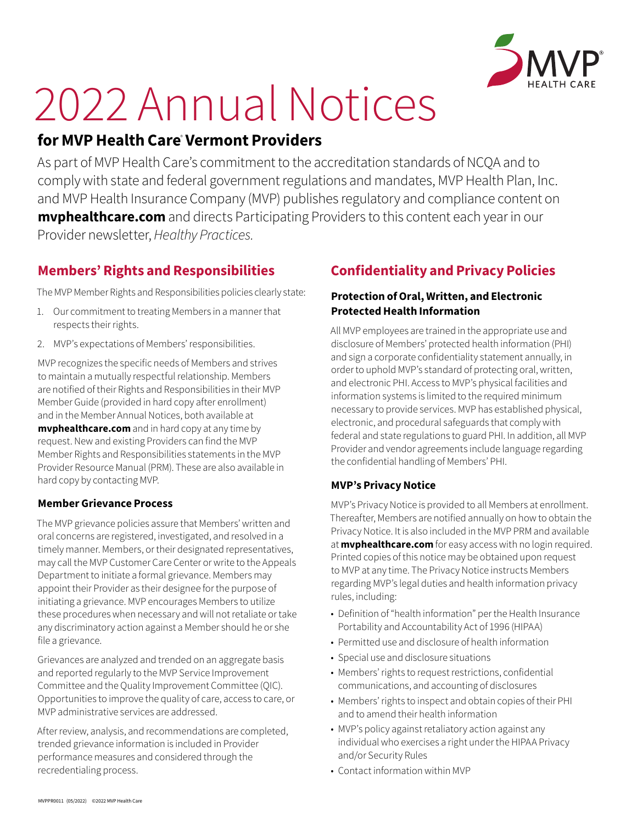

# 2022 Annual Notices

# **for MVP Health Care**®  **Vermont Providers**

As part of MVP Health Care's commitment to the accreditation standards of NCQA and to comply with state and federal government regulations and mandates, MVP Health Plan, Inc. and MVP Health Insurance Company (MVP) publishes regulatory and compliance content on **myphealthcare.com** and directs Participating Providers to this content each year in our Provider newsletter, *Healthy Practices.*

# **Members' Rights and Responsibilities**

The MVP Member Rights and Responsibilities policies clearly state:

- 1. Our commitment to treating Members in a manner that respects their rights.
- 2. MVP's expectations of Members' responsibilities.

MVP recognizes the specific needs of Members and strives to maintain a mutually respectful relationship. Members are notified of their Rights and Responsibilities in their MVP Member Guide (provided in hard copy after enrollment) and in the Member Annual Notices, both available at **[mvphealthcare.com](https://www.mvphealthcare.com/)** and in hard copy at any time by request. New and existing Providers can find the MVP Member Rights and Responsibilities statements in the MVP Provider Resource Manual (PRM). These are also available in hard copy by contacting MVP.

## **Member Grievance Process**

The MVP grievance policies assure that Members' written and oral concerns are registered, investigated, and resolved in a timely manner. Members, or their designated representatives, may call the MVP Customer Care Center or write to the Appeals Department to initiate a formal grievance. Members may appoint their Provider as their designee for the purpose of initiating a grievance. MVP encourages Members to utilize these procedures when necessary and will not retaliate or take any discriminatory action against a Member should he or she file a grievance.

Grievances are analyzed and trended on an aggregate basis and reported regularly to the MVP Service Improvement Committee and the Quality Improvement Committee (QIC). Opportunities to improve the quality of care, access to care, or MVP administrative services are addressed.

After review, analysis, and recommendations are completed, trended grievance information is included in Provider performance measures and considered through the recredentialing process.

# **Confidentiality and Privacy Policies**

## **Protection of Oral, Written, and Electronic Protected Health Information**

All MVP employees are trained in the appropriate use and disclosure of Members' protected health information (PHI) and sign a corporate confidentiality statement annually, in order to uphold MVP's standard of protecting oral, written, and electronic PHI. Access to MVP's physical facilities and information systems is limited to the required minimum necessary to provide services. MVP has established physical, electronic, and procedural safeguards that comply with federal and state regulations to guard PHI. In addition, all MVP Provider and vendor agreements include language regarding the confidential handling of Members' PHI.

## **MVP's Privacy Notice**

MVP's Privacy Notice is provided to all Members at enrollment. Thereafter, Members are notified annually on how to obtain the Privacy Notice. It is also included in the MVP PRM and available at **[mvphealthcare.com](https://www.mvphealthcare.com/)** for easy access with no login required. Printed copies of this notice may be obtained upon request to MVP at any time. The Privacy Notice instructs Members regarding MVP's legal duties and health information privacy rules, including:

- Definition of "health information" per the Health Insurance Portability and Accountability Act of 1996 (HIPAA)
- Permitted use and disclosure of health information
- Special use and disclosure situations
- Members' rights to request restrictions, confidential communications, and accounting of disclosures
- Members' rights to inspect and obtain copies of their PHI and to amend their health information
- MVP's policy against retaliatory action against any individual who exercises a right under the HIPAA Privacy and/or Security Rules
- Contact information within MVP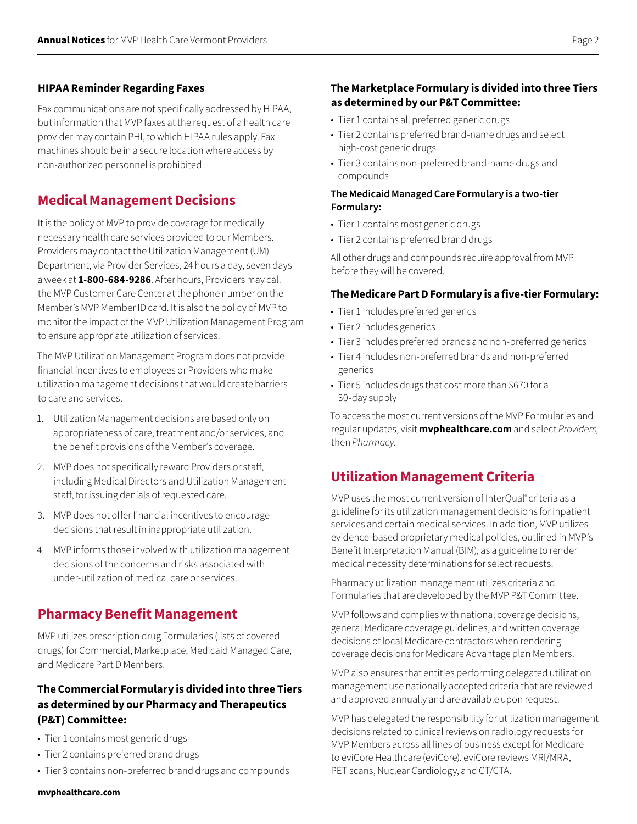#### **HIPAA Reminder Regarding Faxes**

Fax communications are not specifically addressed by HIPAA, but information that MVP faxes at the request of a health care provider may contain PHI, to which HIPAA rules apply. Fax machines should be in a secure location where access by non‑authorized personnel is prohibited.

## **Medical Management Decisions**

It is the policy of MVP to provide coverage for medically necessary health care services provided to our Members. Providers may contact the Utilization Management (UM) Department, via Provider Services, 24 hours a day, seven days a week at **1-800-684-9286**. After hours, Providers may call the MVP Customer Care Center at the phone number on the Member's MVP Member ID card. It is also the policy of MVP to monitor the impact of the MVP Utilization Management Program to ensure appropriate utilization of services.

The MVP Utilization Management Program does not provide financial incentives to employees or Providers who make utilization management decisions that would create barriers to care and services.

- 1. Utilization Management decisions are based only on appropriateness of care, treatment and/or services, and the benefit provisions of the Member's coverage.
- 2. MVP does not specifically reward Providers or staff, including Medical Directors and Utilization Management staff, for issuing denials of requested care.
- 3. MVP does not offer financial incentives to encourage decisions that result in inappropriate utilization.
- 4. MVP informs those involved with utilization management decisions of the concerns and risks associated with under‑utilization of medical care or services.

## **Pharmacy Benefit Management**

MVP utilizes prescription drug Formularies (lists of covered drugs) for Commercial, Marketplace, Medicaid Managed Care, and Medicare Part D Members.

## **The Commercial Formulary is divided into three Tiers as determined by our Pharmacy and Therapeutics (P&T) Committee:**

- Tier 1 contains most generic drugs
- Tier 2 contains preferred brand drugs
- Tier 3 contains non-preferred brand drugs and compounds

#### **The Marketplace Formulary is divided into three Tiers as determined by our P&T Committee:**

- Tier 1 contains all preferred generic drugs
- Tier 2 contains preferred brand-name drugs and select high‑cost generic drugs
- Tier 3 contains non-preferred brand-name drugs and compounds

#### **The Medicaid Managed Care Formulary is a two-tier Formulary:**

- Tier 1 contains most generic drugs
- Tier 2 contains preferred brand drugs

All other drugs and compounds require approval from MVP before they will be covered.

#### **The Medicare Part D Formulary is a five-tier Formulary:**

- Tier 1 includes preferred generics
- Tier 2 includes generics
- Tier 3 includes preferred brands and non-preferred generics
- Tier 4 includes non-preferred brands and non-preferred generics
- Tier 5 includes drugs that cost more than \$670 for a 30‑day supply

To access the most current versions of the MVP Formularies and regular updates, visit **[mvphealthcare.com](https://www.mvphealthcare.com/)** and select *Providers,*  then *Pharmacy.*

## **Utilization Management Criteria**

MVP uses the most current version of InterQual<sup>®</sup> criteria as a guideline for its utilization management decisions for inpatient services and certain medical services. In addition, MVP utilizes evidence-based proprietary medical policies, outlined in MVP's Benefit Interpretation Manual (BIM), as a guideline to render medical necessity determinations for select requests.

Pharmacy utilization management utilizes criteria and Formularies that are developed by the MVP P&T Committee.

MVP follows and complies with national coverage decisions, general Medicare coverage guidelines, and written coverage decisions of local Medicare contractors when rendering coverage decisions for Medicare Advantage plan Members.

MVP also ensures that entities performing delegated utilization management use nationally accepted criteria that are reviewed and approved annually and are available upon request.

MVP has delegated the responsibility for utilization management decisions related to clinical reviews on radiology requests for MVP Members across all lines of business except for Medicare to eviCore Healthcare (eviCore). eviCore reviews MRI/MRA, PET scans, Nuclear Cardiology, and CT/CTA.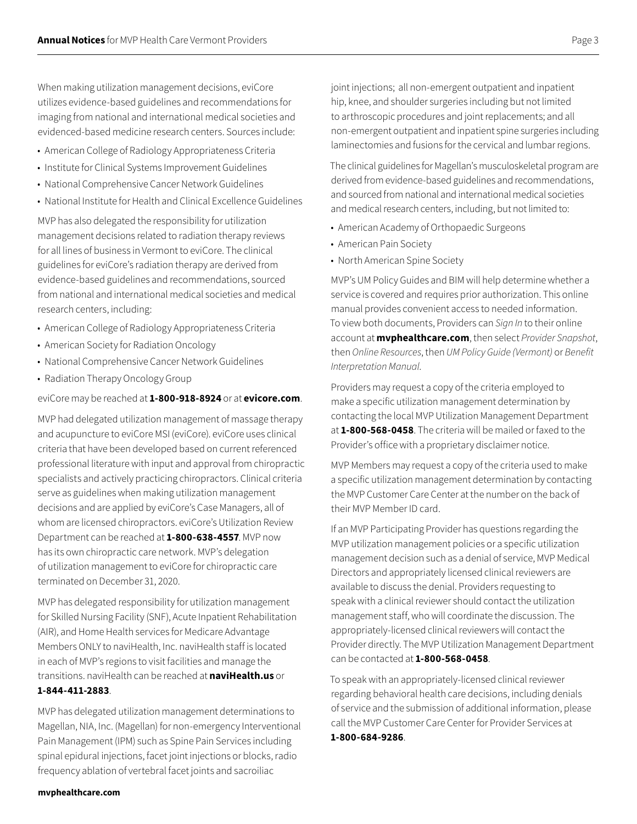When making utilization management decisions, eviCore utilizes evidence-based guidelines and recommendations for imaging from national and international medical societies and evidenced-based medicine research centers. Sources include:

- American College of Radiology Appropriateness Criteria
- Institute for Clinical Systems Improvement Guidelines
- National Comprehensive Cancer Network Guidelines
- National Institute for Health and Clinical Excellence Guidelines

MVP has also delegated the responsibility for utilization management decisions related to radiation therapy reviews for all lines of business in Vermont to eviCore. The clinical guidelines for eviCore's radiation therapy are derived from evidence-based guidelines and recommendations, sourced from national and international medical societies and medical research centers, including:

- American College of Radiology Appropriateness Criteria
- American Society for Radiation Oncology
- National Comprehensive Cancer Network Guidelines
- Radiation Therapy Oncology Group

eviCore may be reached at **1-800-918-8924** or at **[evicore.com](https://www.evicore.com/)**.

MVP had delegated utilization management of massage therapy and acupuncture to eviCore MSI (eviCore). eviCore uses clinical criteria that have been developed based on current referenced professional literature with input and approval from chiropractic specialists and actively practicing chiropractors. Clinical criteria serve as guidelines when making utilization management decisions and are applied by eviCore's Case Managers, all of whom are licensed chiropractors. eviCore's Utilization Review Department can be reached at **1-800-638-4557**. MVP now has its own chiropractic care network. MVP's delegation of utilization management to eviCore for chiropractic care terminated on December 31, 2020.

MVP has delegated responsibility for utilization management for Skilled Nursing Facility (SNF), Acute Inpatient Rehabilitation (AIR), and Home Health services for Medicare Advantage Members ONLY to naviHealth, Inc. naviHealth staff is located in each of MVP's regions to visit facilities and manage the transitions. naviHealth can be reached at **[naviHealth.us](https://naviHealth.com)** or **1-844-411-2883**.

MVP has delegated utilization management determinations to Magellan, NIA, Inc. (Magellan) for non-emergency Interventional Pain Management (IPM) such as Spine Pain Services including spinal epidural injections, facet joint injections or blocks, radio frequency ablation of vertebral facet joints and sacroiliac

joint injections; all non-emergent outpatient and inpatient hip, knee, and shoulder surgeries including but not limited to arthroscopic procedures and joint replacements; and all non‑emergent outpatient and inpatient spine surgeries including laminectomies and fusions for the cervical and lumbar regions.

The clinical guidelines for Magellan's musculoskeletal program are derived from evidence-based guidelines and recommendations, and sourced from national and international medical societies and medical research centers, including, but not limited to:

- American Academy of Orthopaedic Surgeons
- American Pain Society
- North American Spine Society

MVP's UM Policy Guides and BIM will help determine whether a service is covered and requires prior authorization. This online manual provides convenient access to needed information. To view both documents, Providers can *Sign In* to their online account at **[mvphealthcare.com](https://www.mvphealthcare.com/)**, then select *Provider Snapshot*, then *Online Resources*, then *UM Policy Guide (Vermont)* or *Benefit Interpretation Manual*.

Providers may request a copy of the criteria employed to make a specific utilization management determination by contacting the local MVP Utilization Management Department at **1-800-568-0458**. The criteria will be mailed or faxed to the Provider's office with a proprietary disclaimer notice.

MVP Members may request a copy of the criteria used to make a specific utilization management determination by contacting the MVP Customer Care Center at the number on the back of their MVP Member ID card.

If an MVP Participating Provider has questions regarding the MVP utilization management policies or a specific utilization management decision such as a denial of service, MVP Medical Directors and appropriately licensed clinical reviewers are available to discuss the denial. Providers requesting to speak with a clinical reviewer should contact the utilization management staff, who will coordinate the discussion. The appropriately-licensed clinical reviewers will contact the Provider directly. The MVP Utilization Management Department can be contacted at **1-800-568-0458**.

To speak with an appropriately-licensed clinical reviewer regarding behavioral health care decisions, including denials of service and the submission of additional information, please call the MVP Customer Care Center for Provider Services at **1-800-684-9286**.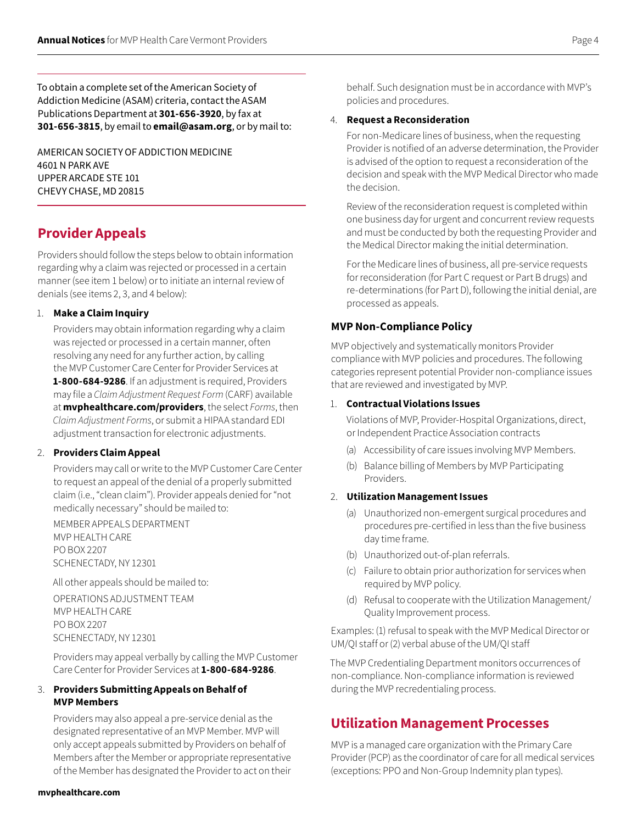To obtain a complete set of the American Society of Addiction Medicine (ASAM) criteria, contact the ASAM Publications Department at **301-656-3920**, by fax at **301-656-3815**, by email to **[email@asam.org](mailto:email%40asam.org?subject=)**, or by mail to:

AMERICAN SOCIETY OF ADDICTION MEDICINE 4601 N PARK AVE UPPER ARCADE STE 101 CHEVY CHASE, MD 20815

## **Provider Appeals**

Providers should follow the steps below to obtain information regarding why a claim was rejected or processed in a certain manner (see item 1 below) or to initiate an internal review of denials (see items 2, 3, and 4 below):

#### 1. **Make a Claim Inquiry**

Providers may obtain information regarding why a claim was rejected or processed in a certain manner, often resolving any need for any further action, by calling the MVP Customer Care Center for Provider Services at **1-800-684-9286**. If an adjustment is required, Providers may file a *Claim Adjustment Request Form* (CARF) available at **mvphealthcare.com/providers**, the select *Forms*, then *Claim Adjustment Forms*, or submit a HIPAA standard EDI adjustment transaction for electronic adjustments.

#### 2. **Providers Claim Appeal**

Providers may call or write to the MVP Customer Care Center to request an appeal of the denial of a properly submitted claim (i.e., "clean claim"). Provider appeals denied for "not medically necessary" should be mailed to:

MEMBER APPEALS DEPARTMENT MVP HEALTH CARE PO BOX 2207 SCHENECTADY, NY 12301

All other appeals should be mailed to:

OPERATIONS ADJUSTMENT TEAM MVP HEALTH CARE PO BOX 2207 SCHENECTADY, NY 12301

Providers may appeal verbally by calling the MVP Customer Care Center for Provider Services at **1-800-684-9286**.

#### 3. **Providers Submitting Appeals on Behalf of MVP Members**

Providers may also appeal a pre-service denial as the designated representative of an MVP Member. MVP will only accept appeals submitted by Providers on behalf of Members after the Member or appropriate representative of the Member has designated the Provider to act on their behalf. Such designation must be in accordance with MVP's policies and procedures.

#### 4. **Request a Reconsideration**

For non-Medicare lines of business, when the requesting Provider is notified of an adverse determination, the Provider is advised of the option to request a reconsideration of the decision and speak with the MVP Medical Director who made the decision.

Review of the reconsideration request is completed within one business day for urgent and concurrent review requests and must be conducted by both the requesting Provider and the Medical Director making the initial determination.

For the Medicare lines of business, all pre-service requests for reconsideration (for Part C request or Part B drugs) and re-determinations (for Part D), following the initial denial, are processed as appeals.

#### **MVP Non-Compliance Policy**

MVP objectively and systematically monitors Provider compliance with MVP policies and procedures. The following categories represent potential Provider non-compliance issues that are reviewed and investigated by MVP.

#### 1. **Contractual Violations Issues**

Violations of MVP, Provider-Hospital Organizations, direct, or Independent Practice Association contracts

- (a) Accessibility of care issues involving MVP Members.
- (b) Balance billing of Members by MVP Participating Providers.

#### 2. **Utilization Management Issues**

- (a) Unauthorized non-emergent surgical procedures and procedures pre-certified in less than the five business day time frame.
- (b) Unauthorized out-of-plan referrals.
- (c) Failure to obtain prior authorization for services when required by MVP policy.
- (d) Refusal to cooperate with the Utilization Management/ Quality Improvement process.

Examples: (1) refusal to speak with the MVP Medical Director or UM/QI staff or (2) verbal abuse of the UM/QI staff

The MVP Credentialing Department monitors occurrences of non-compliance. Non-compliance information is reviewed during the MVP recredentialing process.

## **Utilization Management Processes**

MVP is a managed care organization with the Primary Care Provider (PCP) as the coordinator of care for all medical services (exceptions: PPO and Non-Group Indemnity plan types).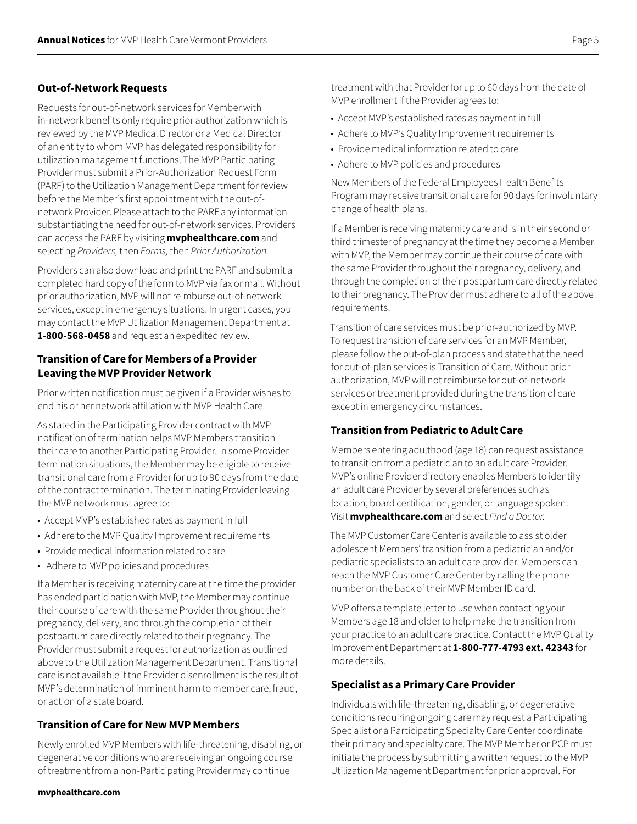#### **Out-of-Network Requests**

Requests for out-of-network services for Member with in‑network benefits only require prior authorization which is reviewed by the MVP Medical Director or a Medical Director of an entity to whom MVP has delegated responsibility for utilization management functions. The MVP Participating Provider must submit a Prior-Authorization Request Form (PARF) to the Utilization Management Department for review before the Member's first appointment with the out-ofnetwork Provider. Please attach to the PARF any information substantiating the need for out-of-network services. Providers can access the PARF by visiting **[mvphealthcare.com](https://www.mvphealthcare.com/)** and selecting *Providers,* then *Forms,* then *Prior Authorization.*

Providers can also download and print the PARF and submit a completed hard copy of the form to MVP via fax or mail. Without prior authorization, MVP will not reimburse out-of-network services, except in emergency situations. In urgent cases, you may contact the MVP Utilization Management Department at **1-800-568-0458** and request an expedited review.

#### **Transition of Care for Members of a Provider Leaving the MVP Provider Network**

Prior written notification must be given if a Provider wishes to end his or her network affiliation with MVP Health Care.

As stated in the Participating Provider contract with MVP notification of termination helps MVP Members transition their care to another Participating Provider. In some Provider termination situations, the Member may be eligible to receive transitional care from a Provider for up to 90 days from the date of the contract termination. The terminating Provider leaving the MVP network must agree to:

- Accept MVP's established rates as payment in full
- Adhere to the MVP Quality Improvement requirements
- Provide medical information related to care
- Adhere to MVP policies and procedures

If a Member is receiving maternity care at the time the provider has ended participation with MVP, the Member may continue their course of care with the same Provider throughout their pregnancy, delivery, and through the completion of their postpartum care directly related to their pregnancy. The Provider must submit a request for authorization as outlined above to the Utilization Management Department. Transitional care is not available if the Provider disenrollment is the result of MVP's determination of imminent harm to member care, fraud, or action of a state board.

#### **Transition of Care for New MVP Members**

Newly enrolled MVP Members with life-threatening, disabling, or degenerative conditions who are receiving an ongoing course of treatment from a non-Participating Provider may continue

treatment with that Provider for up to 60 days from the date of MVP enrollment if the Provider agrees to:

- Accept MVP's established rates as payment in full
- Adhere to MVP's Quality Improvement requirements
- Provide medical information related to care
- Adhere to MVP policies and procedures

New Members of the Federal Employees Health Benefits Program may receive transitional care for 90 days for involuntary change of health plans.

If a Member is receiving maternity care and is in their second or third trimester of pregnancy at the time they become a Member with MVP, the Member may continue their course of care with the same Provider throughout their pregnancy, delivery, and through the completion of their postpartum care directly related to their pregnancy. The Provider must adhere to all of the above requirements.

Transition of care services must be prior-authorized by MVP. To request transition of care services for an MVP Member, please follow the out-of-plan process and state that the need for out-of-plan services is Transition of Care. Without prior authorization, MVP will not reimburse for out-of-network services or treatment provided during the transition of care except in emergency circumstances.

## **Transition from Pediatric to Adult Care**

Members entering adulthood (age 18) can request assistance to transition from a pediatrician to an adult care Provider. MVP's online Provider directory enables Members to identify an adult care Provider by several preferences such as location, board certification, gender, or language spoken. Visit **[mvphealthcare.com](https://www.mvphealthcare.com/)** and select *Find a Doctor.*

The MVP Customer Care Center is available to assist older adolescent Members' transition from a pediatrician and/or pediatric specialists to an adult care provider. Members can reach the MVP Customer Care Center by calling the phone number on the back of their MVP Member ID card.

MVP offers a template letter to use when contacting your Members age 18 and older to help make the transition from your practice to an adult care practice. Contact the MVP Quality Improvement Department at **1-800-777-4793 ext. 42343** for more details.

## **Specialist as a Primary Care Provider**

Individuals with life-threatening, disabling, or degenerative conditions requiring ongoing care may request a Participating Specialist or a Participating Specialty Care Center coordinate their primary and specialty care. The MVP Member or PCP must initiate the process by submitting a written request to the MVP Utilization Management Department for prior approval. For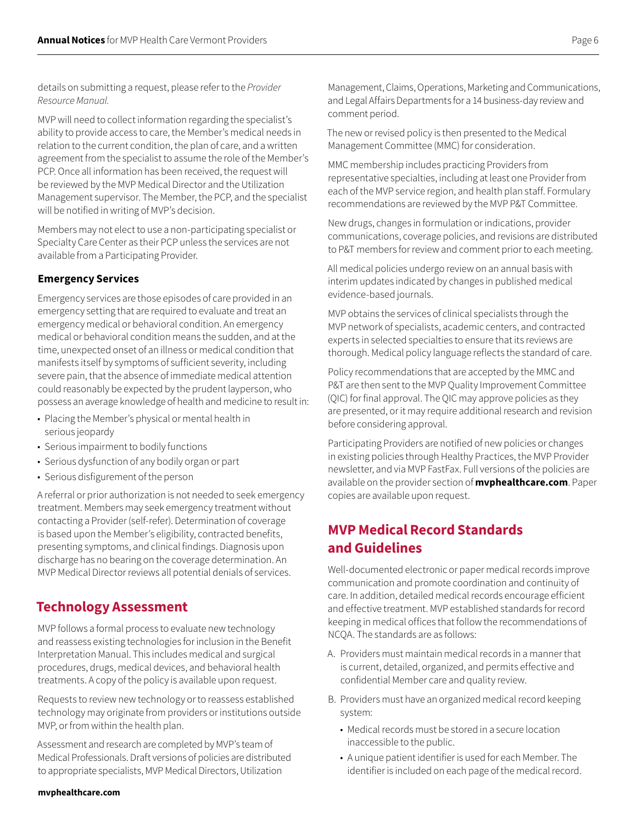details on submitting a request, please refer to the *Provider Resource Manual.*

MVP will need to collect information regarding the specialist's ability to provide access to care, the Member's medical needs in relation to the current condition, the plan of care, and a written agreement from the specialist to assume the role of the Member's PCP. Once all information has been received, the request will be reviewed by the MVP Medical Director and the Utilization Management supervisor. The Member, the PCP, and the specialist will be notified in writing of MVP's decision.

Members may not elect to use a non-participating specialist or Specialty Care Center as their PCP unless the services are not available from a Participating Provider.

## **Emergency Services**

Emergency services are those episodes of care provided in an emergency setting that are required to evaluate and treat an emergency medical or behavioral condition. An emergency medical or behavioral condition means the sudden, and at the time, unexpected onset of an illness or medical condition that manifests itself by symptoms of sufficient severity, including severe pain, that the absence of immediate medical attention could reasonably be expected by the prudent layperson, who possess an average knowledge of health and medicine to result in:

- Placing the Member's physical or mental health in serious jeopardy
- Serious impairment to bodily functions
- Serious dysfunction of any bodily organ or part
- Serious disfigurement of the person

A referral or prior authorization is not needed to seek emergency treatment. Members may seek emergency treatment without contacting a Provider (self-refer). Determination of coverage is based upon the Member's eligibility, contracted benefits, presenting symptoms, and clinical findings. Diagnosis upon discharge has no bearing on the coverage determination. An MVP Medical Director reviews all potential denials of services.

# **Technology Assessment**

MVP follows a formal process to evaluate new technology and reassess existing technologies for inclusion in the Benefit Interpretation Manual. This includes medical and surgical procedures, drugs, medical devices, and behavioral health treatments. A copy of the policy is available upon request.

Requests to review new technology or to reassess established technology may originate from providers or institutions outside MVP, or from within the health plan.

Assessment and research are completed by MVP's team of Medical Professionals. Draft versions of policies are distributed to appropriate specialists, MVP Medical Directors, Utilization

#### Management, Claims, Operations, Marketing and Communications, and Legal Affairs Departments for a 14 business-day review and comment period.

The new or revised policy is then presented to the Medical Management Committee (MMC) for consideration.

MMC membership includes practicing Providers from representative specialties, including at least one Provider from each of the MVP service region, and health plan staff. Formulary recommendations are reviewed by the MVP P&T Committee.

New drugs, changes in formulation or indications, provider communications, coverage policies, and revisions are distributed to P&T members for review and comment prior to each meeting.

All medical policies undergo review on an annual basis with interim updates indicated by changes in published medical evidence-based journals.

MVP obtains the services of clinical specialists through the MVP network of specialists, academic centers, and contracted experts in selected specialties to ensure that its reviews are thorough. Medical policy language reflects the standard of care.

Policy recommendations that are accepted by the MMC and P&T are then sent to the MVP Quality Improvement Committee (QIC) for final approval. The QIC may approve policies as they are presented, or it may require additional research and revision before considering approval.

Participating Providers are notified of new policies or changes in existing policies through Healthy Practices, the MVP Provider newsletter, and via MVP FastFax. Full versions of the policies are available on the provider section of **[mvphealthcare.com](https://www.mvphealthcare.com/)**. Paper copies are available upon request.

# **MVP Medical Record Standards and Guidelines**

Well-documented electronic or paper medical records improve communication and promote coordination and continuity of care. In addition, detailed medical records encourage efficient and effective treatment. MVP established standards for record keeping in medical offices that follow the recommendations of NCQA. The standards are as follows:

- A. Providers must maintain medical records in a manner that is current, detailed, organized, and permits effective and confidential Member care and quality review.
- B. Providers must have an organized medical record keeping system:
	- Medical records must be stored in a secure location inaccessible to the public.
	- A unique patient identifier is used for each Member. The identifier is included on each page of the medical record.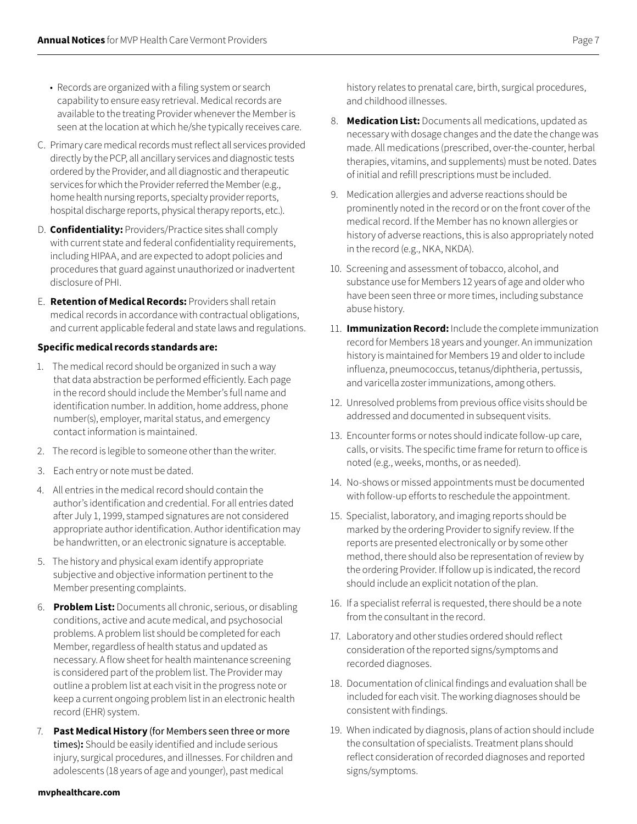- Records are organized with a filing system or search capability to ensure easy retrieval. Medical records are available to the treating Provider whenever the Member is seen at the location at which he/she typically receives care.
- C. Primary care medical records must reflect all services provided directly by the PCP, all ancillary services and diagnostic tests ordered by the Provider, and all diagnostic and therapeutic services for which the Provider referred the Member (e.g., home health nursing reports, specialty provider reports, hospital discharge reports, physical therapy reports, etc.).
- D. **Confidentiality:** Providers/Practice sites shall comply with current state and federal confidentiality requirements, including HIPAA, and are expected to adopt policies and procedures that guard against unauthorized or inadvertent disclosure of PHI.
- E. **Retention of Medical Records:** Providers shall retain medical records in accordance with contractual obligations, and current applicable federal and state laws and regulations.

#### **Specific medical records standards are:**

- 1. The medical record should be organized in such a way that data abstraction be performed efficiently. Each page in the record should include the Member's full name and identification number. In addition, home address, phone number(s), employer, marital status, and emergency contact information is maintained.
- 2. The record is legible to someone other than the writer.
- 3. Each entry or note must be dated.
- 4. All entries in the medical record should contain the author's identification and credential. For all entries dated after July 1, 1999, stamped signatures are not considered appropriate author identification. Author identification may be handwritten, or an electronic signature is acceptable.
- 5. The history and physical exam identify appropriate subjective and objective information pertinent to the Member presenting complaints.
- 6. **Problem List:** Documents all chronic, serious, or disabling conditions, active and acute medical, and psychosocial problems. A problem list should be completed for each Member, regardless of health status and updated as necessary. A flow sheet for health maintenance screening is considered part of the problem list. The Provider may outline a problem list at each visit in the progress note or keep a current ongoing problem list in an electronic health record (EHR) system.
- 7. **Past Medical History** (for Members seen three or more times)**:** Should be easily identified and include serious injury, surgical procedures, and illnesses. For children and adolescents (18 years of age and younger), past medical

history relates to prenatal care, birth, surgical procedures, and childhood illnesses.

- 8. **Medication List:** Documents all medications, updated as necessary with dosage changes and the date the change was made. All medications (prescribed, over-the-counter, herbal therapies, vitamins, and supplements) must be noted. Dates of initial and refill prescriptions must be included.
- 9. Medication allergies and adverse reactions should be prominently noted in the record or on the front cover of the medical record. If the Member has no known allergies or history of adverse reactions, this is also appropriately noted in the record (e.g., NKA, NKDA).
- 10. Screening and assessment of tobacco, alcohol, and substance use for Members 12 years of age and older who have been seen three or more times, including substance abuse history.
- 11. **Immunization Record:** Include the complete immunization record for Members 18 years and younger. An immunization history is maintained for Members 19 and older to include influenza, pneumococcus, tetanus/diphtheria, pertussis, and varicella zoster immunizations, among others.
- 12. Unresolved problems from previous office visits should be addressed and documented in subsequent visits.
- 13. Encounter forms or notes should indicate follow-up care, calls, or visits. The specific time frame for return to office is noted (e.g., weeks, months, or as needed).
- 14. No-shows or missed appointments must be documented with follow-up efforts to reschedule the appointment.
- 15. Specialist, laboratory, and imaging reports should be marked by the ordering Provider to signify review. If the reports are presented electronically or by some other method, there should also be representation of review by the ordering Provider. If follow up is indicated, the record should include an explicit notation of the plan.
- 16. If a specialist referral is requested, there should be a note from the consultant in the record.
- 17. Laboratory and other studies ordered should reflect consideration of the reported signs/symptoms and recorded diagnoses.
- 18. Documentation of clinical findings and evaluation shall be included for each visit. The working diagnoses should be consistent with findings.
- 19. When indicated by diagnosis, plans of action should include the consultation of specialists. Treatment plans should reflect consideration of recorded diagnoses and reported signs/symptoms.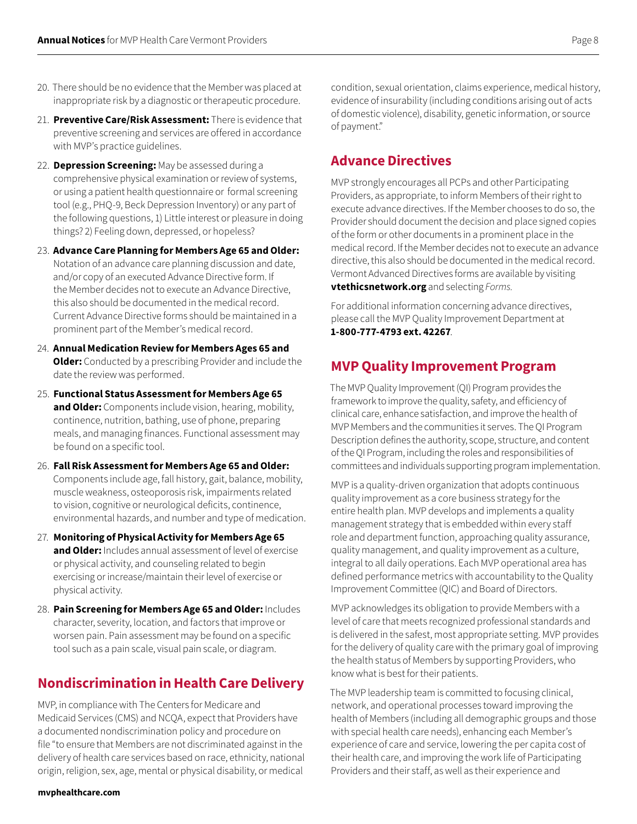- 20. There should be no evidence that the Member was placed at inappropriate risk by a diagnostic or therapeutic procedure.
- 21. **Preventive Care/Risk Assessment:** There is evidence that preventive screening and services are offered in accordance with MVP's practice guidelines.
- 22. **Depression Screening:** May be assessed during a comprehensive physical examination or review of systems, or using a patient health questionnaire or formal screening tool (e.g., PHQ-9, Beck Depression Inventory) or any part of the following questions, 1) Little interest or pleasure in doing things? 2) Feeling down, depressed, or hopeless?

23. **Advance Care Planning for Members Age 65 and Older:** Notation of an advance care planning discussion and date, and/or copy of an executed Advance Directive form. If the Member decides not to execute an Advance Directive, this also should be documented in the medical record. Current Advance Directive forms should be maintained in a prominent part of the Member's medical record.

- 24. **Annual Medication Review for Members Ages 65 and Older:** Conducted by a prescribing Provider and include the date the review was performed.
- 25. **Functional Status Assessment for Members Age 65 and Older:** Components include vision, hearing, mobility, continence, nutrition, bathing, use of phone, preparing meals, and managing finances. Functional assessment may be found on a specific tool.
- 26. **Fall Risk Assessment for Members Age 65 and Older:**  Components include age, fall history, gait, balance, mobility, muscle weakness, osteoporosis risk, impairments related to vision, cognitive or neurological deficits, continence, environmental hazards, and number and type of medication.
- 27. **Monitoring of Physical Activity for Members Age 65 and Older:** Includes annual assessment of level of exercise or physical activity, and counseling related to begin exercising or increase/maintain their level of exercise or physical activity.
- 28. **Pain Screening for Members Age 65 and Older:** Includes character, severity, location, and factors that improve or worsen pain. Pain assessment may be found on a specific tool such as a pain scale, visual pain scale, or diagram.

# **Nondiscrimination in Health Care Delivery**

MVP, in compliance with The Centers for Medicare and Medicaid Services (CMS) and NCQA, expect that Providers have a documented nondiscrimination policy and procedure on file "to ensure that Members are not discriminated against in the delivery of health care services based on race, ethnicity, national origin, religion, sex, age, mental or physical disability, or medical

condition, sexual orientation, claims experience, medical history, evidence of insurability (including conditions arising out of acts of domestic violence), disability, genetic information, or source of payment."

## **Advance Directives**

MVP strongly encourages all PCPs and other Participating Providers, as appropriate, to inform Members of their right to execute advance directives. If the Member chooses to do so, the Provider should document the decision and place signed copies of the form or other documents in a prominent place in the medical record. If the Member decides not to execute an advance directive, this also should be documented in the medical record. Vermont Advanced Directives forms are available by visiting **[vtethicsnetwork.org](https://vtethicsnetwork.org/)** and selecting *Forms.*

For additional information concerning advance directives, please call the MVP Quality Improvement Department at **1-800-777-4793 ext. 42267**.

## **MVP Quality Improvement Program**

The MVP Quality Improvement (QI) Program provides the framework to improve the quality, safety, and efficiency of clinical care, enhance satisfaction, and improve the health of MVP Members and the communities it serves. The QI Program Description defines the authority, scope, structure, and content of the QI Program, including the roles and responsibilities of committees and individuals supporting program implementation.

MVP is a quality-driven organization that adopts continuous quality improvement as a core business strategy for the entire health plan. MVP develops and implements a quality management strategy that is embedded within every staff role and department function, approaching quality assurance, quality management, and quality improvement as a culture, integral to all daily operations. Each MVP operational area has defined performance metrics with accountability to the Quality Improvement Committee (QIC) and Board of Directors.

MVP acknowledges its obligation to provide Members with a level of care that meets recognized professional standards and is delivered in the safest, most appropriate setting. MVP provides for the delivery of quality care with the primary goal of improving the health status of Members by supporting Providers, who know what is best for their patients.

The MVP leadership team is committed to focusing clinical, network, and operational processes toward improving the health of Members (including all demographic groups and those with special health care needs), enhancing each Member's experience of care and service, lowering the per capita cost of their health care, and improving the work life of Participating Providers and their staff, as well as their experience and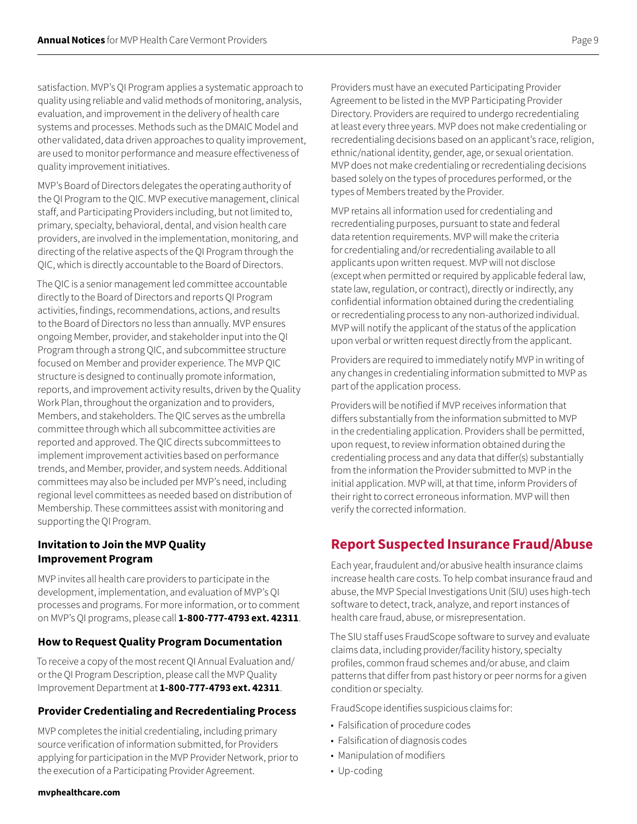satisfaction. MVP's QI Program applies a systematic approach to quality using reliable and valid methods of monitoring, analysis, evaluation, and improvement in the delivery of health care systems and processes. Methods such as the DMAIC Model and other validated, data driven approaches to quality improvement, are used to monitor performance and measure effectiveness of quality improvement initiatives.

MVP's Board of Directors delegates the operating authority of the QI Program to the QIC. MVP executive management, clinical staff, and Participating Providers including, but not limited to, primary, specialty, behavioral, dental, and vision health care providers, are involved in the implementation, monitoring, and directing of the relative aspects of the QI Program through the QIC, which is directly accountable to the Board of Directors.

The QIC is a senior management led committee accountable directly to the Board of Directors and reports QI Program activities, findings, recommendations, actions, and results to the Board of Directors no less than annually. MVP ensures ongoing Member, provider, and stakeholder input into the QI Program through a strong QIC, and subcommittee structure focused on Member and provider experience. The MVP QIC structure is designed to continually promote information, reports, and improvement activity results, driven by the Quality Work Plan, throughout the organization and to providers, Members, and stakeholders. The QIC serves as the umbrella committee through which all subcommittee activities are reported and approved. The QIC directs subcommittees to implement improvement activities based on performance trends, and Member, provider, and system needs. Additional committees may also be included per MVP's need, including regional level committees as needed based on distribution of Membership. These committees assist with monitoring and supporting the QI Program.

## **Invitation to Join the MVP Quality Improvement Program**

MVP invites all health care providers to participate in the development, implementation, and evaluation of MVP's QI processes and programs. For more information, or to comment on MVP's QI programs, please call **1-800-777-4793 ext. 42311**.

#### **How to Request Quality Program Documentation**

To receive a copy of the most recent QI Annual Evaluation and/ or the QI Program Description, please call the MVP Quality Improvement Department at **1-800-777-4793 ext. 42311**.

#### **Provider Credentialing and Recredentialing Process**

MVP completes the initial credentialing, including primary source verification of information submitted, for Providers applying for participation in the MVP Provider Network, prior to the execution of a Participating Provider Agreement.

Providers must have an executed Participating Provider Agreement to be listed in the MVP Participating Provider Directory. Providers are required to undergo recredentialing at least every three years. MVP does not make credentialing or recredentialing decisions based on an applicant's race, religion, ethnic/national identity, gender, age, or sexual orientation. MVP does not make credentialing or recredentialing decisions based solely on the types of procedures performed, or the types of Members treated by the Provider.

MVP retains all information used for credentialing and recredentialing purposes, pursuant to state and federal data retention requirements. MVP will make the criteria for credentialing and/or recredentialing available to all applicants upon written request. MVP will not disclose (except when permitted or required by applicable federal law, state law, regulation, or contract), directly or indirectly, any confidential information obtained during the credentialing or recredentialing process to any non-authorized individual. MVP will notify the applicant of the status of the application upon verbal or written request directly from the applicant.

Providers are required to immediately notify MVP in writing of any changes in credentialing information submitted to MVP as part of the application process.

Providers will be notified if MVP receives information that differs substantially from the information submitted to MVP in the credentialing application. Providers shall be permitted, upon request, to review information obtained during the credentialing process and any data that differ(s) substantially from the information the Provider submitted to MVP in the initial application. MVP will, at that time, inform Providers of their right to correct erroneous information. MVP will then verify the corrected information.

## **Report Suspected Insurance Fraud/Abuse**

Each year, fraudulent and/or abusive health insurance claims increase health care costs. To help combat insurance fraud and abuse, the MVP Special Investigations Unit (SIU) uses high-tech software to detect, track, analyze, and report instances of health care fraud, abuse, or misrepresentation.

The SIU staff uses FraudScope software to survey and evaluate claims data, including provider/facility history, specialty profiles, common fraud schemes and/or abuse, and claim patterns that differ from past history or peer norms for a given condition or specialty.

FraudScope identifies suspicious claims for:

- Falsification of procedure codes
- Falsification of diagnosis codes
- Manipulation of modifiers
- Up-coding